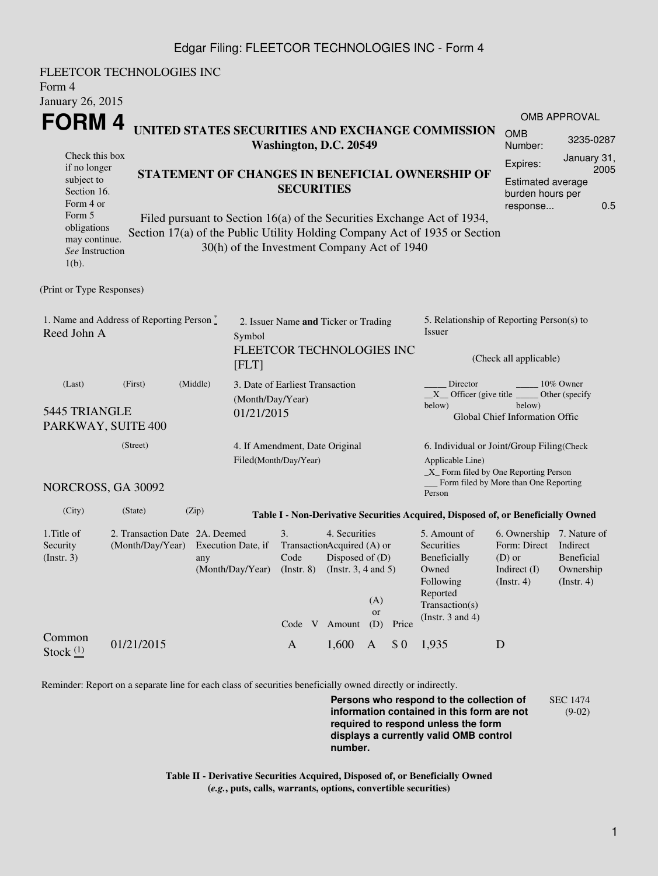## Edgar Filing: FLEETCOR TECHNOLOGIES INC - Form 4

FLEETCOR TECHNOLOGIES INC Form 4 January 26, 2015 **FORM 4** Check this box if no longer subject to Section 16. Form 4 or Form 5 obligations may continue. *See* Instruction  $1(h)$ . **UNITED STATES SECURITIES AND EXCHANGE COMMISSION Washington, D.C. 20549 STATEMENT OF CHANGES IN BENEFICIAL OWNERSHIP OF SECURITIES** Filed pursuant to Section 16(a) of the Securities Exchange Act of 1934, Section 17(a) of the Public Utility Holding Company Act of 1935 or Section 30(h) of the Investment Company Act of 1940 OMB APPROVAL OMB Number: 3235-0287 Expires: January 31, 2005 Estimated average burden hours per response... 0.5 (Print or Type Responses) 1. Name and Address of Reporting Person  $\degree$ Reed John A 2. Issuer Name **and** Ticker or Trading Symbol FLEETCOR TECHNOLOGIES INC [FLT] 5. Relationship of Reporting Person(s) to Issuer (Check all applicable) Director \_\_\_\_\_\_\_\_ 10% Owner  $X$ <sup>Officer</sup> (give title below) Other (specify below) Global Chief Information Offic (Last) (First) (Middle) 5445 TRIANGLE PARKWAY, SUITE 400 3. Date of Earliest Transaction (Month/Day/Year) 01/21/2015 (Street) NORCROSS, GA 30092 4. If Amendment, Date Original Filed(Month/Day/Year) 6. Individual or Joint/Group Filing(Check Applicable Line) \_X\_ Form filed by One Reporting Person Form filed by More than One Reporting Person (City) (State) (Zip) **Table I - Non-Derivative Securities Acquired, Disposed of, or Beneficially Owned** 1.Title of Security (Instr. 3) 2. Transaction Date 2A. Deemed (Month/Day/Year) Execution Date, if any (Month/Day/Year) 3. Transaction Acquired (A) or Code (Instr. 8) 4. Securities Disposed of (D) (Instr. 3, 4 and 5) 5. Amount of **Securities** Beneficially Owned Following Reported Transaction(s) (Instr. 3 and 4) 6. Ownership 7. Nature of Form: Direct Indirect (D) or Indirect (I) (Instr. 4) Beneficial Ownership (Instr. 4) Code V Amount  $(A)$ or (D) Price Common Stock  $\frac{(1)}{2}$  01/21/2015 A 1,600 A \$ 0 1,935 D

Reminder: Report on a separate line for each class of securities beneficially owned directly or indirectly.

**Persons who respond to the collection of information contained in this form are not required to respond unless the form displays a currently valid OMB control number.** SEC 1474 (9-02)

**Table II - Derivative Securities Acquired, Disposed of, or Beneficially Owned (***e.g.***, puts, calls, warrants, options, convertible securities)**